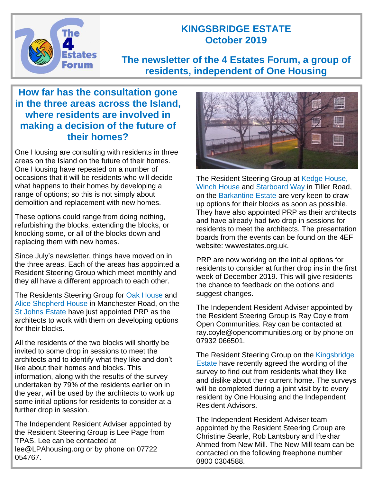

## **KINGSBRIDGE ESTATE October 2019**

# **The newsletter of the 4 Estates Forum, a group of residents, independent of One Housing**

## **How far has the consultation gone in the three areas across the Island, where residents are involved in making a decision of the future of their homes?**

One Housing are consulting with residents in three areas on the Island on the future of their homes. One Housing have repeated on a number of occasions that it will be residents who will decide what happens to their homes by developing a range of options; so this is not simply about demolition and replacement with new homes.

These options could range from doing nothing, refurbishing the blocks, extending the blocks, or knocking some, or all of the blocks down and replacing them with new homes.

Since July's newsletter, things have moved on in the three areas. Each of the areas has appointed a Resident Steering Group which meet monthly and they all have a different approach to each other.

The Residents Steering Group for Oak House and Alice Shepherd House in Manchester Road, on the St Johns Estate have just appointed PRP as the architects to work with them on developing options for their blocks.

All the residents of the two blocks will shortly be invited to some drop in sessions to meet the architects and to identify what they like and don't like about their homes and blocks. This information, along with the results of the survey undertaken by 79% of the residents earlier on in the year, will be used by the architects to work up some initial options for residents to consider at a further drop in session.

The Independent Resident Adviser appointed by the Resident Steering Group is Lee Page from TPAS. Lee can be contacted at lee@LPAhousing.org or by phone on 07722 054767.



The Resident Steering Group at Kedge House, Winch House and Starboard Way in Tiller Road, on the Barkantine Estate are very keen to draw up options for their blocks as soon as possible. They have also appointed PRP as their architects and have already had two drop in sessions for residents to meet the architects. The presentation boards from the events can be found on the 4EF website: wwwestates.org.uk.

PRP are now working on the initial options for residents to consider at further drop ins in the first week of December 2019. This will give residents the chance to feedback on the options and suggest changes.

The Independent Resident Adviser appointed by the Resident Steering Group is Ray Coyle from Open Communities. Ray can be contacted at ray.coyle@opencommunities.org or by phone on 07932 066501.

The Resident Steering Group on the Kingsbridge Estate have recently agreed the wording of the survey to find out from residents what they like and dislike about their current home. The surveys will be completed during a joint visit by to every resident by One Housing and the Independent Resident Advisors.

The Independent Resident Adviser team appointed by the Resident Steering Group are Christine Searle, Rob Lantsbury and Iftekhar Ahmed from New Mill. The New Mill team can be contacted on the following freephone number 0800 0304588.